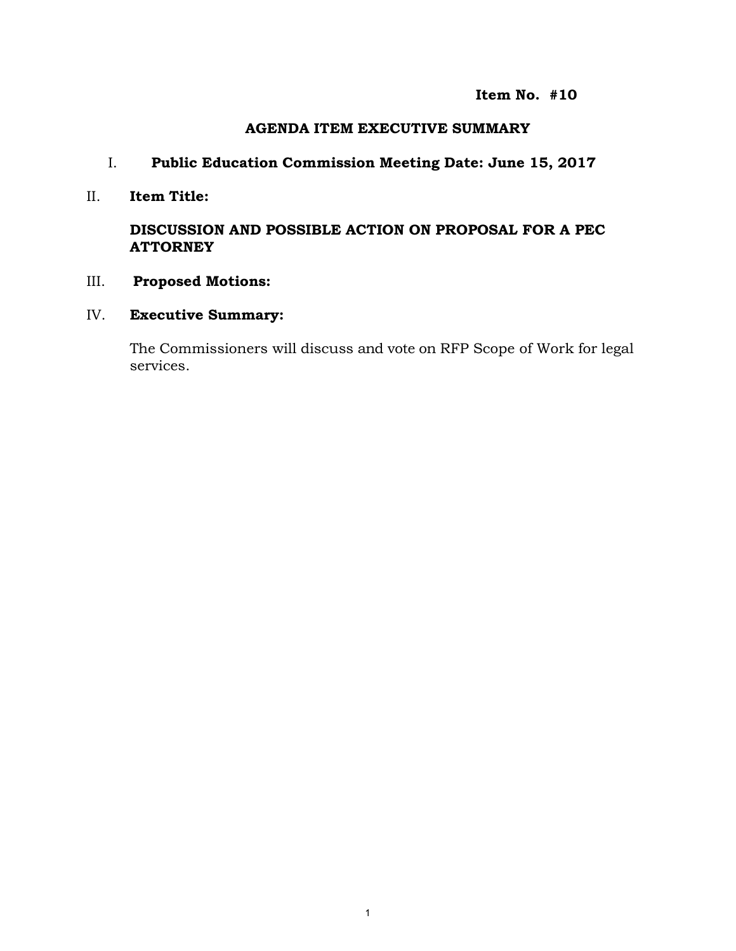**Item No. #10** 

## **AGENDA ITEM EXECUTIVE SUMMARY**

# I. **Public Education Commission Meeting Date: June 15, 2017**

#### II. **Item Title:**

# **DISCUSSION AND POSSIBLE ACTION ON PROPOSAL FOR A PEC ATTORNEY**

## III. **Proposed Motions:**

## IV. **Executive Summary:**

The Commissioners will discuss and vote on RFP Scope of Work for legal services.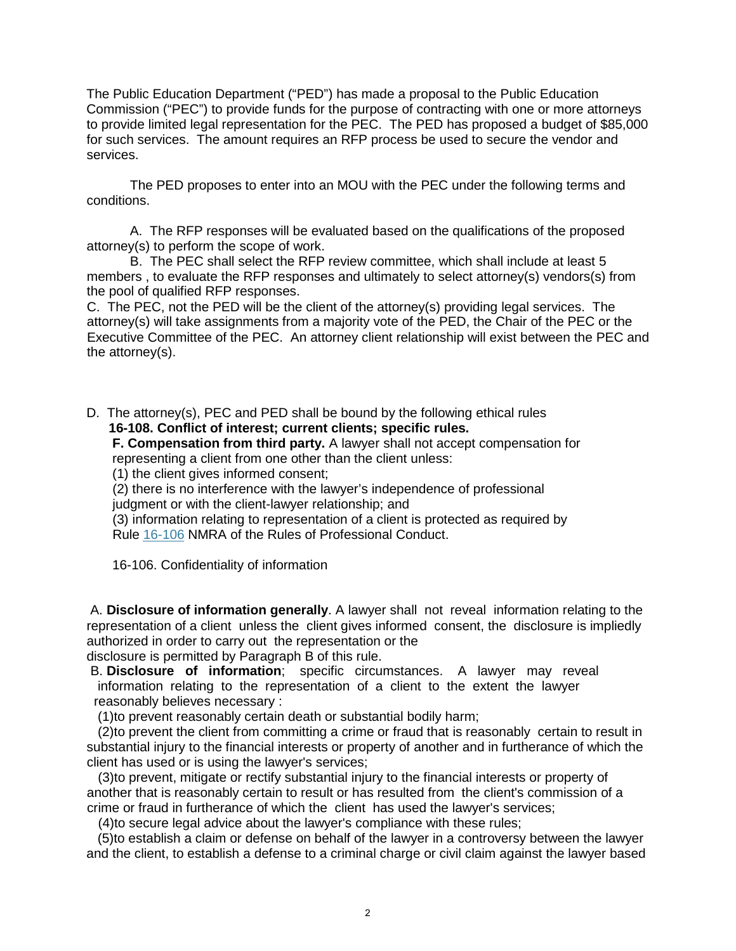The Public Education Department ("PED") has made a proposal to the Public Education Commission ("PEC") to provide funds for the purpose of contracting with one or more attorneys to provide limited legal representation for the PEC. The PED has proposed a budget of \$85,000 for such services. The amount requires an RFP process be used to secure the vendor and services.

The PED proposes to enter into an MOU with the PEC under the following terms and conditions.

A. The RFP responses will be evaluated based on the qualifications of the proposed attorney(s) to perform the scope of work.

B. The PEC shall select the RFP review committee, which shall include at least 5 members , to evaluate the RFP responses and ultimately to select attorney(s) vendors(s) from the pool of qualified RFP responses.

C. The PEC, not the PED will be the client of the attorney(s) providing legal services. The attorney(s) will take assignments from a majority vote of the PED, the Chair of the PEC or the Executive Committee of the PEC. An attorney client relationship will exist between the PEC and the attorney(s).

D. The attorney(s), PEC and PED shall be bound by the following ethical rules  **16-108. Conflict of interest; current clients; specific rules.**

 **F. Compensation from third party.** A lawyer shall not accept compensation for representing a client from one other than the client unless:

(1) the client gives informed consent;

 (2) there is no interference with the lawyer's independence of professional judgment or with the client-lawyer relationship; and

 (3) information relating to representation of a client is protected as required by Rule 16-106 NMRA of the Rules of Professional Conduct.

16-106. Confidentiality of information

A. **Disclosure of information generally**. A lawyer shall not reveal information relating to the representation of a client unless the client gives informed consent, the disclosure is impliedly authorized in order to carry out the representation or the

disclosure is permitted by Paragraph B of this rule.

B. **Disclosure of information**; specific circumstances. A lawyer may reveal information relating to the representation of a client to the extent the lawyer reasonably believes necessary :

(1)to prevent reasonably certain death or substantial bodily harm;

 (2)to prevent the client from committing a crime or fraud that is reasonably certain to result in substantial injury to the financial interests or property of another and in furtherance of which the client has used or is using the lawyer's services;

 (3)to prevent, mitigate or rectify substantial injury to the financial interests or property of another that is reasonably certain to result or has resulted from the client's commission of a crime or fraud in furtherance of which the client has used the lawyer's services;

(4)to secure legal advice about the lawyer's compliance with these rules;

 (5)to establish a claim or defense on behalf of the lawyer in a controversy between the lawyer and the client, to establish a defense to a criminal charge or civil claim against the lawyer based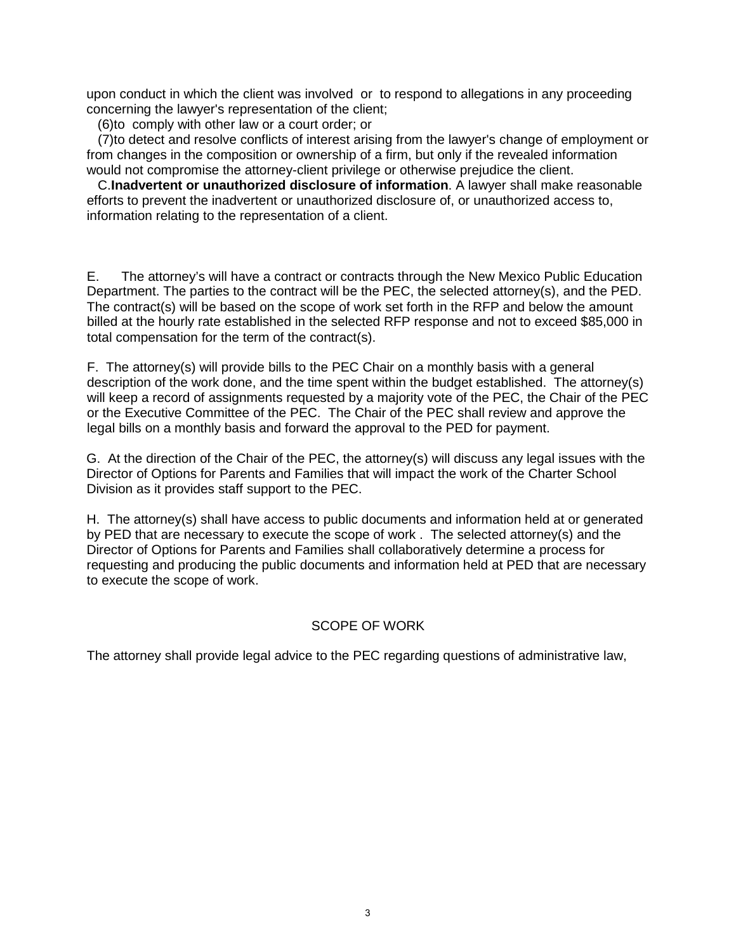upon conduct in which the client was involved or to respond to allegations in any proceeding concerning the lawyer's representation of the client;

(6)to comply with other law or a court order; or

 (7)to detect and resolve conflicts of interest arising from the lawyer's change of employment or from changes in the composition or ownership of a firm, but only if the revealed information would not compromise the attorney-client privilege or otherwise prejudice the client.

 C.**Inadvertent or unauthorized disclosure of information**. A lawyer shall make reasonable efforts to prevent the inadvertent or unauthorized disclosure of, or unauthorized access to, information relating to the representation of a client.

E. The attorney's will have a contract or contracts through the New Mexico Public Education Department. The parties to the contract will be the PEC, the selected attorney(s), and the PED. The contract(s) will be based on the scope of work set forth in the RFP and below the amount billed at the hourly rate established in the selected RFP response and not to exceed \$85,000 in total compensation for the term of the contract(s).

F. The attorney(s) will provide bills to the PEC Chair on a monthly basis with a general description of the work done, and the time spent within the budget established. The attorney(s) will keep a record of assignments requested by a majority vote of the PEC, the Chair of the PEC or the Executive Committee of the PEC. The Chair of the PEC shall review and approve the legal bills on a monthly basis and forward the approval to the PED for payment.

G. At the direction of the Chair of the PEC, the attorney(s) will discuss any legal issues with the Director of Options for Parents and Families that will impact the work of the Charter School Division as it provides staff support to the PEC.

H. The attorney(s) shall have access to public documents and information held at or generated by PED that are necessary to execute the scope of work . The selected attorney(s) and the Director of Options for Parents and Families shall collaboratively determine a process for requesting and producing the public documents and information held at PED that are necessary to execute the scope of work.

#### SCOPE OF WORK

The attorney shall provide legal advice to the PEC regarding questions of administrative law,